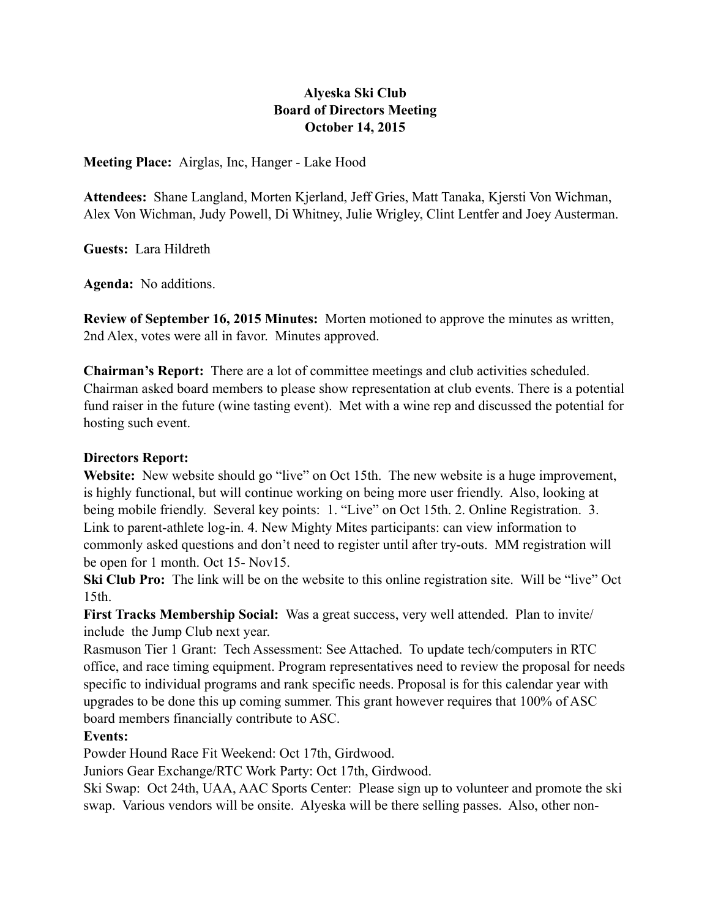# **Alyeska Ski Club Board of Directors Meeting October 14, 2015**

**Meeting Place:** Airglas, Inc, Hanger - Lake Hood

**Attendees:** Shane Langland, Morten Kjerland, Jeff Gries, Matt Tanaka, Kjersti Von Wichman, Alex Von Wichman, Judy Powell, Di Whitney, Julie Wrigley, Clint Lentfer and Joey Austerman.

**Guests:** Lara Hildreth

**Agenda:** No additions.

**Review of September 16, 2015 Minutes:** Morten motioned to approve the minutes as written, 2nd Alex, votes were all in favor. Minutes approved.

**Chairman's Report:** There are a lot of committee meetings and club activities scheduled. Chairman asked board members to please show representation at club events. There is a potential fund raiser in the future (wine tasting event). Met with a wine rep and discussed the potential for hosting such event.

#### **Directors Report:**

Website: New website should go "live" on Oct 15th. The new website is a huge improvement, is highly functional, but will continue working on being more user friendly. Also, looking at being mobile friendly. Several key points: 1. "Live" on Oct 15th. 2. Online Registration. 3. Link to parent-athlete log-in. 4. New Mighty Mites participants: can view information to commonly asked questions and don't need to register until after try-outs. MM registration will be open for 1 month. Oct 15- Nov15.

**Ski Club Pro:** The link will be on the website to this online registration site. Will be "live" Oct 15th.

**First Tracks Membership Social:** Was a great success, very well attended. Plan to invite/ include the Jump Club next year.

Rasmuson Tier 1 Grant: Tech Assessment: See Attached. To update tech/computers in RTC office, and race timing equipment. Program representatives need to review the proposal for needs specific to individual programs and rank specific needs. Proposal is for this calendar year with upgrades to be done this up coming summer. This grant however requires that 100% of ASC board members financially contribute to ASC.

### **Events:**

Powder Hound Race Fit Weekend: Oct 17th, Girdwood.

Juniors Gear Exchange/RTC Work Party: Oct 17th, Girdwood.

Ski Swap: Oct 24th, UAA, AAC Sports Center: Please sign up to volunteer and promote the ski swap. Various vendors will be onsite. Alyeska will be there selling passes. Also, other non